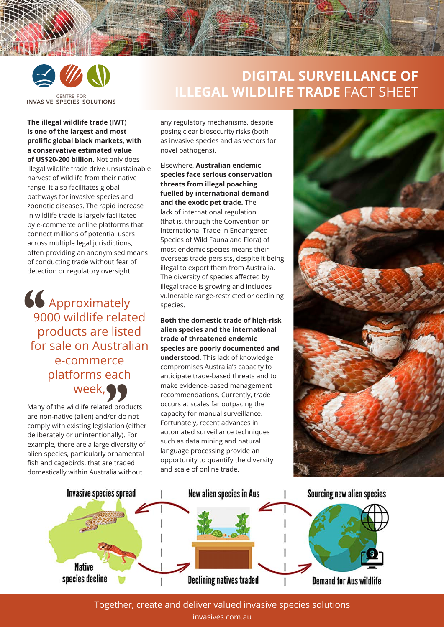

## **DIGITAL SURVEILLANCE OF ILLEGAL WILDLIFE TRADE** FACT SHEET

**The illegal wildlife trade (IWT) is one of the largest and most prolific global black markets, with a conservative estimated value of US\$20-200 billion.** Not only does illegal wildlife trade drive unsustainable harvest of wildlife from their native range, it also facilitates global pathways for invasive species and zoonotic diseases. The rapid increase in wildlife trade is largely facilitated by e-commerce online platforms that connect millions of potential users across multiple legal jurisdictions, often providing an anonymised means of conducting trade without fear of detection or regulatory oversight.

Approximately 9000 wildlife related products are listed for sale on Australian e-commerce platforms each week,  $\frac{1}{\frac{90}{\pi}}$ rce<br>eacl<br>99

Many of the wildlife related products are non-native (alien) and/or do not comply with existing legislation (either deliberately or unintentionally). For example, there are a large diversity of alien species, particularly ornamental fish and cagebirds, that are traded domestically within Australia without

any regulatory mechanisms, despite posing clear biosecurity risks (both as invasive species and as vectors for novel pathogens).

Elsewhere, **Australian endemic species face serious conservation threats from illegal poaching fuelled by international demand and the exotic pet trade.** The lack of international regulation (that is, through the Convention on International Trade in Endangered Species of Wild Fauna and Flora) of most endemic species means their overseas trade persists, despite it being illegal to export them from Australia. The diversity of species affected by illegal trade is growing and includes vulnerable range-restricted or declining species.

**Both the domestic trade of high-risk alien species and the international trade of threatened endemic species are poorly documented and understood.** This lack of knowledge compromises Australia's capacity to anticipate trade-based threats and to make evidence-based management recommendations. Currently, trade occurs at scales far outpacing the capacity for manual surveillance. Fortunately, recent advances in automated surveillance techniques such as data mining and natural language processing provide an opportunity to quantify the diversity and scale of online trade.





Together, create and deliver valued invasive species solutions invasives.com.au